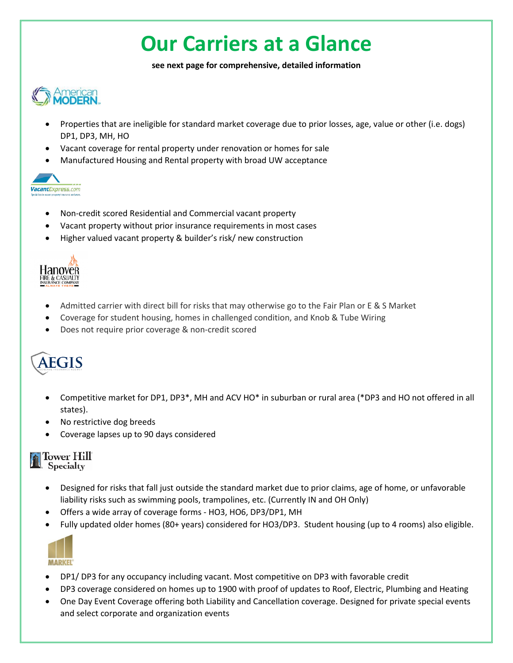## **Our Carriers at a Glance**

**see next page for comprehensive, detailed information**



- Properties that are ineligible for standard market coverage due to prior losses, age, value or other (i.e. dogs) DP1, DP3, MH, HO
- Vacant coverage for rental property under renovation or homes for sale
- Manufactured Housing and Rental property with broad UW acceptance



- Non-credit scored Residential and Commercial vacant property
- Vacant property without prior insurance requirements in most cases
- Higher valued vacant property & builder's risk/ new construction



- Admitted carrier with direct bill for risks that may otherwise go to the Fair Plan or E & S Market
- Coverage for student housing, homes in challenged condition, and Knob & Tube Wiring
- Does not require prior coverage & non-credit scored

## **AEGIS**

- Competitive market for DP1, DP3\*, MH and ACV HO\* in suburban or rural area (\*DP3 and HO not offered in all states).
- No restrictive dog breeds
- Coverage lapses up to 90 days considered

| Tower Hill          |  |
|---------------------|--|
| <b>R.</b> Specialty |  |

ſ

- Designed for risks that fall just outside the standard market due to prior claims, age of home, or unfavorable liability risks such as swimming pools, trampolines, etc. (Currently IN and OH Only)
- Offers a wide array of coverage forms HO3, HO6, DP3/DP1, MH
- Fully updated older homes (80+ years) considered for HO3/DP3. Student housing (up to 4 rooms) also eligible.



- DP1/ DP3 for any occupancy including vacant. Most competitive on DP3 with favorable credit
- DP3 coverage considered on homes up to 1900 with proof of updates to Roof, Electric, Plumbing and Heating
- One Day Event Coverage offering both Liability and Cancellation coverage. Designed for private special events and select corporate and organization events